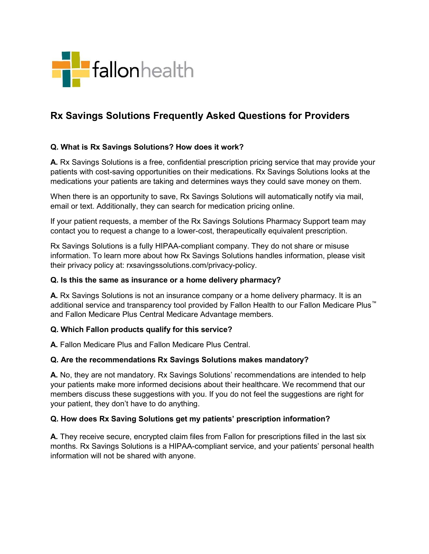

# Rx Savings Solutions Frequently Asked Questions for Providers

### Q. What is Rx Savings Solutions? How does it work?

A. Rx Savings Solutions is a free, confidential prescription pricing service that may provide your patients with cost-saving opportunities on their medications. Rx Savings Solutions looks at the medications your patients are taking and determines ways they could save money on them.

When there is an opportunity to save, Rx Savings Solutions will automatically notify via mail, email or text. Additionally, they can search for medication pricing online.

If your patient requests, a member of the Rx Savings Solutions Pharmacy Support team may contact you to request a change to a lower-cost, therapeutically equivalent prescription.

Rx Savings Solutions is a fully HIPAA-compliant company. They do not share or misuse information. To learn more about how Rx Savings Solutions handles information, please visit their privacy policy at: rxsavingssolutions.com/privacy-policy.

#### Q. Is this the same as insurance or a home delivery pharmacy?

A. Rx Savings Solutions is not an insurance company or a home delivery pharmacy. It is an additional service and transparency tool provided by Fallon Health to our Fallon Medicare Plus™ and Fallon Medicare Plus Central Medicare Advantage members.

#### Q. Which Fallon products qualify for this service?

A. Fallon Medicare Plus and Fallon Medicare Plus Central.

#### Q. Are the recommendations Rx Savings Solutions makes mandatory?

A. No, they are not mandatory. Rx Savings Solutions' recommendations are intended to help your patients make more informed decisions about their healthcare. We recommend that our members discuss these suggestions with you. If you do not feel the suggestions are right for your patient, they don't have to do anything.

#### Q. How does Rx Saving Solutions get my patients' prescription information?

A. They receive secure, encrypted claim files from Fallon for prescriptions filled in the last six months. Rx Savings Solutions is a HIPAA-compliant service, and your patients' personal health information will not be shared with anyone.